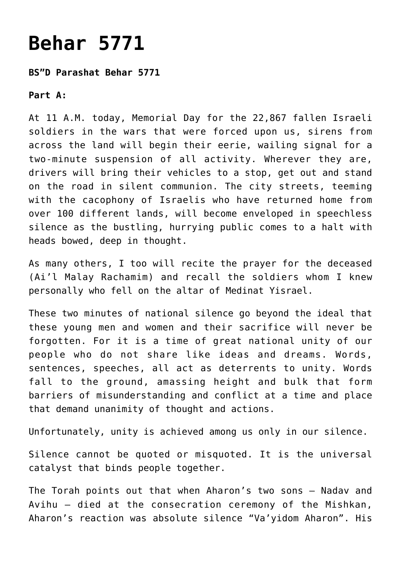## **[Behar 5771](https://nachmankahana.com/behar-5771/)**

## **BS"D Parashat Behar 5771**

**Part A:**

At 11 A.M. today, Memorial Day for the 22,867 fallen Israeli soldiers in the wars that were forced upon us, sirens from across the land will begin their eerie, wailing signal for a two-minute suspension of all activity. Wherever they are, drivers will bring their vehicles to a stop, get out and stand on the road in silent communion. The city streets, teeming with the cacophony of Israelis who have returned home from over 100 different lands, will become enveloped in speechless silence as the bustling, hurrying public comes to a halt with heads bowed, deep in thought.

As many others, I too will recite the prayer for the deceased (Ai'l Malay Rachamim) and recall the soldiers whom I knew personally who fell on the altar of Medinat Yisrael.

These two minutes of national silence go beyond the ideal that these young men and women and their sacrifice will never be forgotten. For it is a time of great national unity of our people who do not share like ideas and dreams. Words, sentences, speeches, all act as deterrents to unity. Words fall to the ground, amassing height and bulk that form barriers of misunderstanding and conflict at a time and place that demand unanimity of thought and actions.

Unfortunately, unity is achieved among us only in our silence.

Silence cannot be quoted or misquoted. It is the universal catalyst that binds people together.

The Torah points out that when Aharon's two sons – Nadav and Avihu – died at the consecration ceremony of the Mishkan, Aharon's reaction was absolute silence "Va'yidom Aharon". His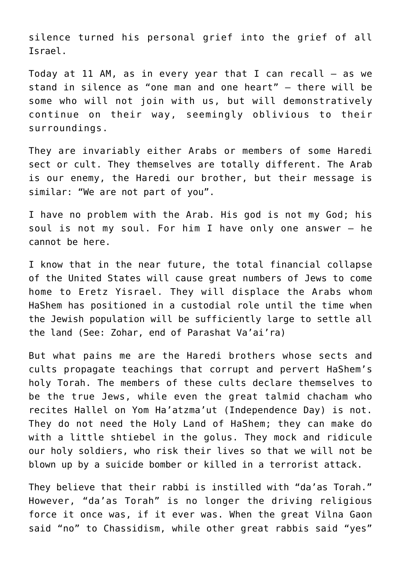silence turned his personal grief into the grief of all Israel.

Today at 11 AM, as in every year that I can recall  $-$  as we stand in silence as "one man and one heart" – there will be some who will not join with us, but will demonstratively continue on their way, seemingly oblivious to their surroundings.

They are invariably either Arabs or members of some Haredi sect or cult. They themselves are totally different. The Arab is our enemy, the Haredi our brother, but their message is similar: "We are not part of you".

I have no problem with the Arab. His god is not my God; his soul is not my soul. For him I have only one answer – he cannot be here.

I know that in the near future, the total financial collapse of the United States will cause great numbers of Jews to come home to Eretz Yisrael. They will displace the Arabs whom HaShem has positioned in a custodial role until the time when the Jewish population will be sufficiently large to settle all the land (See: Zohar, end of Parashat Va'ai'ra)

But what pains me are the Haredi brothers whose sects and cults propagate teachings that corrupt and pervert HaShem's holy Torah. The members of these cults declare themselves to be the true Jews, while even the great talmid chacham who recites Hallel on Yom Ha'atzma'ut (Independence Day) is not. They do not need the Holy Land of HaShem; they can make do with a little shtiebel in the golus. They mock and ridicule our holy soldiers, who risk their lives so that we will not be blown up by a suicide bomber or killed in a terrorist attack.

They believe that their rabbi is instilled with "da'as Torah." However, "da'as Torah" is no longer the driving religious force it once was, if it ever was. When the great Vilna Gaon said "no" to Chassidism, while other great rabbis said "yes"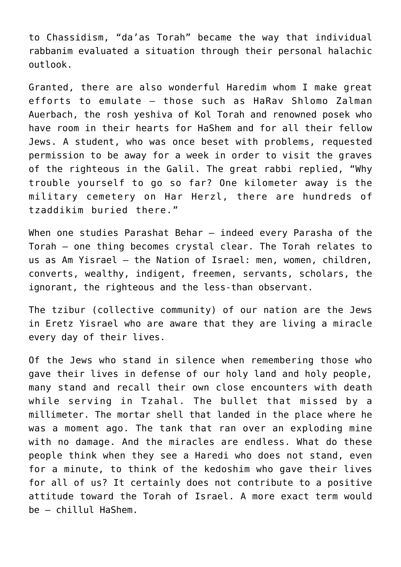to Chassidism, "da'as Torah" became the way that individual rabbanim evaluated a situation through their personal halachic outlook.

Granted, there are also wonderful Haredim whom I make great efforts to emulate – those such as HaRav Shlomo Zalman Auerbach, the rosh yeshiva of Kol Torah and renowned posek who have room in their hearts for HaShem and for all their fellow Jews. A student, who was once beset with problems, requested permission to be away for a week in order to visit the graves of the righteous in the Galil. The great rabbi replied, "Why trouble yourself to go so far? One kilometer away is the military cemetery on Har Herzl, there are hundreds of tzaddikim buried there."

When one studies Parashat Behar – indeed every Parasha of the Torah – one thing becomes crystal clear. The Torah relates to us as Am Yisrael – the Nation of Israel: men, women, children, converts, wealthy, indigent, freemen, servants, scholars, the ignorant, the righteous and the less-than observant.

The tzibur (collective community) of our nation are the Jews in Eretz Yisrael who are aware that they are living a miracle every day of their lives.

Of the Jews who stand in silence when remembering those who gave their lives in defense of our holy land and holy people, many stand and recall their own close encounters with death while serving in Tzahal. The bullet that missed by a millimeter. The mortar shell that landed in the place where he was a moment ago. The tank that ran over an exploding mine with no damage. And the miracles are endless. What do these people think when they see a Haredi who does not stand, even for a minute, to think of the kedoshim who gave their lives for all of us? It certainly does not contribute to a positive attitude toward the Torah of Israel. A more exact term would be – chillul HaShem.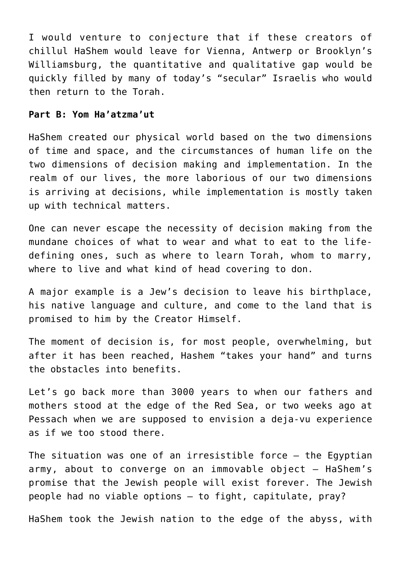I would venture to conjecture that if these creators of chillul HaShem would leave for Vienna, Antwerp or Brooklyn's Williamsburg, the quantitative and qualitative gap would be quickly filled by many of today's "secular" Israelis who would then return to the Torah.

## **Part B: Yom Ha'atzma'ut**

HaShem created our physical world based on the two dimensions of time and space, and the circumstances of human life on the two dimensions of decision making and implementation. In the realm of our lives, the more laborious of our two dimensions is arriving at decisions, while implementation is mostly taken up with technical matters.

One can never escape the necessity of decision making from the mundane choices of what to wear and what to eat to the lifedefining ones, such as where to learn Torah, whom to marry, where to live and what kind of head covering to don.

A major example is a Jew's decision to leave his birthplace, his native language and culture, and come to the land that is promised to him by the Creator Himself.

The moment of decision is, for most people, overwhelming, but after it has been reached, Hashem "takes your hand" and turns the obstacles into benefits.

Let's go back more than 3000 years to when our fathers and mothers stood at the edge of the Red Sea, or two weeks ago at Pessach when we are supposed to envision a deja-vu experience as if we too stood there.

The situation was one of an irresistible force – the Egyptian army, about to converge on an immovable object – HaShem's promise that the Jewish people will exist forever. The Jewish people had no viable options – to fight, capitulate, pray?

HaShem took the Jewish nation to the edge of the abyss, with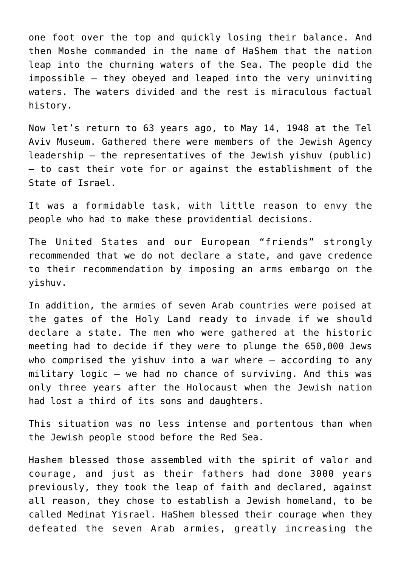one foot over the top and quickly losing their balance. And then Moshe commanded in the name of HaShem that the nation leap into the churning waters of the Sea. The people did the impossible – they obeyed and leaped into the very uninviting waters. The waters divided and the rest is miraculous factual history.

Now let's return to 63 years ago, to May 14, 1948 at the Tel Aviv Museum. Gathered there were members of the Jewish Agency leadership – the representatives of the Jewish yishuv (public) – to cast their vote for or against the establishment of the State of Israel.

It was a formidable task, with little reason to envy the people who had to make these providential decisions.

The United States and our European "friends" strongly recommended that we do not declare a state, and gave credence to their recommendation by imposing an arms embargo on the yishuv.

In addition, the armies of seven Arab countries were poised at the gates of the Holy Land ready to invade if we should declare a state. The men who were gathered at the historic meeting had to decide if they were to plunge the 650,000 Jews who comprised the yishuv into a war where – according to any military logic – we had no chance of surviving. And this was only three years after the Holocaust when the Jewish nation had lost a third of its sons and daughters.

This situation was no less intense and portentous than when the Jewish people stood before the Red Sea.

Hashem blessed those assembled with the spirit of valor and courage, and just as their fathers had done 3000 years previously, they took the leap of faith and declared, against all reason, they chose to establish a Jewish homeland, to be called Medinat Yisrael. HaShem blessed their courage when they defeated the seven Arab armies, greatly increasing the